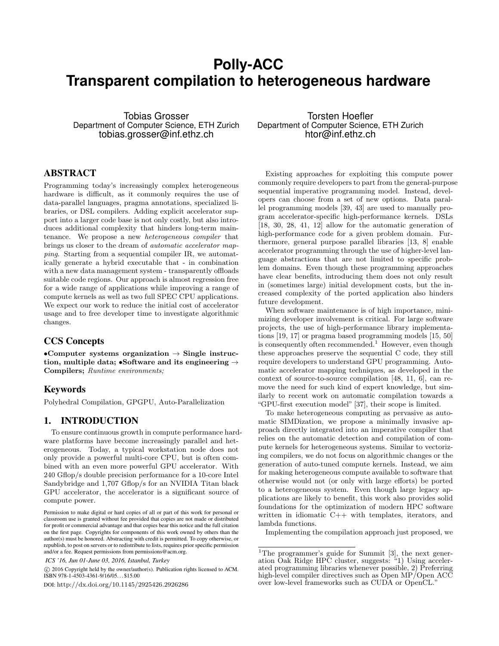# **Polly-ACC Transparent compilation to heterogeneous hardware**

Tobias Grosser Department of Computer Science, ETH Zurich tobias.grosser@inf.ethz.ch

# ABSTRACT

Programming today's increasingly complex heterogeneous hardware is difficult, as it commonly requires the use of data-parallel languages, pragma annotations, specialized libraries, or DSL compilers. Adding explicit accelerator support into a larger code base is not only costly, but also introduces additional complexity that hinders long-term maintenance. We propose a new heterogeneous compiler that brings us closer to the dream of automatic accelerator mapping. Starting from a sequential compiler IR, we automatically generate a hybrid executable that - in combination with a new data management system - transparently offloads suitable code regions. Our approach is almost regression free for a wide range of applications while improving a range of compute kernels as well as two full SPEC CPU applications. We expect our work to reduce the initial cost of accelerator usage and to free developer time to investigate algorithmic changes.

# CCS Concepts

•Computer systems organization  $\rightarrow$  Single instruction, multiple data; •Software and its engineering  $\rightarrow$ Compilers; Runtime environments;

# Keywords

Polyhedral Compilation, GPGPU, Auto-Parallelization

# 1. INTRODUCTION

To ensure continuous growth in compute performance hardware platforms have become increasingly parallel and heterogeneous. Today, a typical workstation node does not only provide a powerful multi-core CPU, but is often combined with an even more powerful GPU accelerator. With 240 Gflop/s double precision performance for a 10-core Intel Sandybridge and 1,707 Gflop/s for an NVIDIA Titan black GPU accelerator, the accelerator is a significant source of compute power.

 c 2016 Copyright held by the owner/author(s). Publication rights licensed to ACM. ISBN 978-1-4503-4361-9/16/05. . . \$15.00

DOI: <http://dx.doi.org/10.1145/2925426.2926286>

Torsten Hoefler Department of Computer Science, ETH Zurich htor@inf.ethz.ch

Existing approaches for exploiting this compute power commonly require developers to part from the general-purpose sequential imperative programming model. Instead, developers can choose from a set of new options. Data parallel programming models [\[39,](#page-11-0) [43\]](#page-11-1) are used to manually program accelerator-specific high-performance kernels. DSLs [\[18,](#page-10-0) [30,](#page-11-2) [28,](#page-11-3) [41,](#page-11-4) [12\]](#page-10-1) allow for the automatic generation of high-performance code for a given problem domain. Furthermore, general purpose parallel libraries [\[13,](#page-10-2) [8\]](#page-10-3) enable accelerator programming through the use of higher-level language abstractions that are not limited to specific problem domains. Even though these programming approaches have clear benefits, introducing them does not only result in (sometimes large) initial development costs, but the increased complexity of the ported application also hinders future development.

When software maintenance is of high importance, minimizing developer involvement is critical. For large software projects, the use of high-performance library implementations [\[19,](#page-11-5) [17\]](#page-10-4) or pragma based programming models [\[15,](#page-10-5) [50\]](#page-12-0) is consequently often recommended.<sup>[1](#page-0-0)</sup> However, even though these approaches preserve the sequential C code, they still require developers to understand GPU programming. Automatic accelerator mapping techniques, as developed in the context of source-to-source compilation [\[48,](#page-12-1) [11,](#page-10-6) [6\]](#page-10-7), can remove the need for such kind of expert knowledge, but similarly to recent work on automatic compilation towards a "GPU-first execution model" [\[37\]](#page-11-6), their scope is limited.

To make heterogeneous computing as pervasive as automatic SIMDization, we propose a minimally invasive approach directly integrated into an imperative compiler that relies on the automatic detection and compilation of compute kernels for heterogeneous systems. Similar to vectorizing compilers, we do not focus on algorithmic changes or the generation of auto-tuned compute kernels. Instead, we aim for making heterogeneous compute available to software that otherwise would not (or only with large efforts) be ported to a heterogeneous system. Even though large legacy applications are likely to benefit, this work also provides solid foundations for the optimization of modern HPC software written in idiomatic C++ with templates, iterators, and lambda functions.

Implementing the compilation approach just proposed, we

Permission to make digital or hard copies of all or part of this work for personal or classroom use is granted without fee provided that copies are not made or distributed for profit or commercial advantage and that copies bear this notice and the full citation on the first page. Copyrights for components of this work owned by others than the author(s) must be honored. Abstracting with credit is permitted. To copy otherwise, or republish, to post on servers or to redistribute to lists, requires prior specific permission and/or a fee. Request permissions from permissions@acm.org.

*ICS '16, Jun 01-June 03, 2016, Istanbul, Turkey*

<span id="page-0-0"></span><sup>&</sup>lt;sup>1</sup>The programmer's guide for Summit  $[3]$ , the next generation Oak Ridge HPC cluster, suggests: "1) Using accelerated programming libraries whenever possible, 2) Preferring high-level compiler directives such as Open MP/Open ACC over low-level frameworks such as CUDA or OpenCL."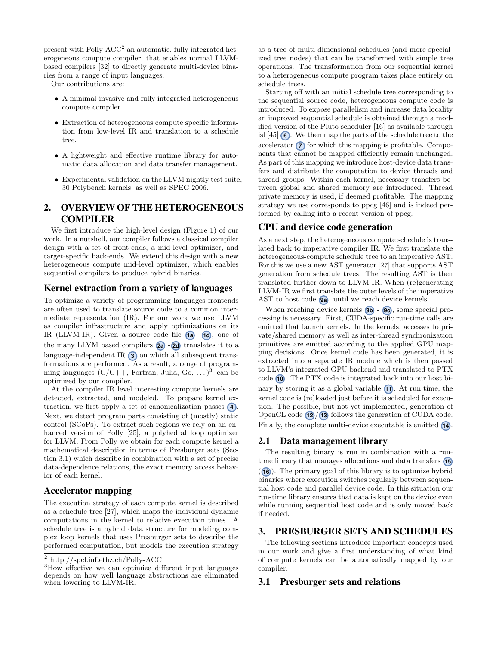present with Polly-ACC<sup>[2](#page-1-0)</sup> an automatic, fully integrated heterogeneous compute compiler, that enables normal LLVMbased compilers [\[32\]](#page-11-7) to directly generate multi-device binaries from a range of input languages.

Our contributions are:

- A minimal-invasive and fully integrated heterogeneous compute compiler.
- Extraction of heterogeneous compute specific information from low-level IR and translation to a schedule tree.
- A lightweight and effective runtime library for automatic data allocation and data transfer management.
- Experimental validation on the LLVM nightly test suite, 30 Polybench kernels, as well as SPEC 2006.

# <span id="page-1-3"></span>2. OVERVIEW OF THE HETEROGENEOUS COMPILER

We first introduce the high-level design [\(Figure 1\)](#page-2-0) of our work. In a nutshell, our compiler follows a classical compiler design with a set of front-ends, a mid-level optimizer, and target-specific back-ends. We extend this design with a new heterogeneous compute mid-level optimizer, which enables sequential compilers to produce hybrid binaries.

#### Kernel extraction from a variety of languages

To optimize a variety of programming languages frontends are often used to translate source code to a common intermediate representation (IR). For our work we use LLVM as compiler infrastructure and apply optimizations on its IR (LLVM-IR). Given a source code file **[1a](#page-2-0)** - **[1d](#page-2-0)** , one of the many LLVM based compilers **[2a](#page-2-0)** - **[2d](#page-2-0)** translates it to a language-independent IR **[3](#page-2-0)** on which all subsequent transformations are performed. As a result, a range of programming languages  $(C/C++$ , Fortran, Julia, Go, ...)<sup>[3](#page-1-1)</sup> can be optimized by our compiler.

At the compiler IR level interesting compute kernels are detected, extracted, and modeled. To prepare kernel extraction, we first apply a set of canonicalization passes **[4](#page-2-0)** . Next, we detect program parts consisting of (mostly) static control (SCoPs). To extract such regions we rely on an enhanced version of Polly [\[25\]](#page-11-8), a polyhedral loop optimizer for LLVM. From Polly we obtain for each compute kernel a mathematical description in terms of Presburger sets [\(Sec](#page-1-2)[tion 3.1\)](#page-1-2) which describe in combination with a set of precise data-dependence relations, the exact memory access behavior of each kernel.

#### Accelerator mapping

The execution strategy of each compute kernel is described as a schedule tree [\[27\]](#page-11-9), which maps the individual dynamic computations in the kernel to relative execution times. A schedule tree is a hybrid data structure for modeling complex loop kernels that uses Presburger sets to describe the performed computation, but models the execution strategy

as a tree of multi-dimensional schedules (and more specialized tree nodes) that can be transformed with simple tree operations. The transformation from our sequential kernel to a heterogeneous compute program takes place entirely on schedule trees.

Starting off with an initial schedule tree corresponding to the sequential source code, heterogeneous compute code is introduced. To expose parallelism and increase data locality an improved sequential schedule is obtained through a modified version of the Pluto scheduler [\[16\]](#page-10-9) as available through isl [\[45\]](#page-11-10) **[6](#page-2-0)** . We then map the parts of the schedule tree to the accelerator **[7](#page-2-0)** for which this mapping is profitable. Components that cannot be mapped efficiently remain unchanged. As part of this mapping we introduce host-device data transfers and distribute the computation to device threads and thread groups. Within each kernel, necessary transfers between global and shared memory are introduced. Thread private memory is used, if deemed profitable. The mapping strategy we use corresponds to ppcg [\[46\]](#page-12-2) and is indeed performed by calling into a recent version of ppcg.

## CPU and device code generation

As a next step, the heterogeneous compute schedule is translated back to imperative compiler IR. We first translate the heterogeneous-compute schedule tree to an imperative AST. For this we use a new AST generator [\[27\]](#page-11-9) that supports AST generation from schedule trees. The resulting AST is then translated further down to LLVM-IR. When (re)generating LLVM-IR we first translate the outer levels of the imperative AST to host code  $\circledast$ , until we reach device kernels.

When reaching device kernels **[9b](#page-2-0)** - **[9c](#page-2-0)**, some special processing is necessary. First, CUDA-specific run-time calls are emitted that launch kernels. In the kernels, accesses to private/shared memory as well as inter-thread synchronization primitives are emitted according to the applied GPU mapping decisions. Once kernel code has been generated, it is extracted into a separate IR module which is then passed to LLVM's integrated GPU backend and translated to PTX code **[10](#page-2-0)** . The PTX code is integrated back into our host binary by storing it as a global variable **[11](#page-2-0)** . At run time, the kernel code is (re)loaded just before it is scheduled for execution. The possible, but not yet implemented, generation of OpenCL code **[12](#page-2-0)** / **[13](#page-2-0)** follows the generation of CUDA code. Finally, the complete multi-device executable is emitted **[14](#page-2-0)** .

#### 2.1 Data management library

The resulting binary is run in combination with a runtime library that manages allocations and data transfers **[15](#page-2-0)** ( **[16](#page-2-0)** ). The primary goal of this library is to optimize hybrid binaries where execution switches regularly between sequential host code and parallel device code. In this situation our run-time library ensures that data is kept on the device even while running sequential host code and is only moved back if needed.

# 3. PRESBURGER SETS AND SCHEDULES

The following sections introduce important concepts used in our work and give a first understanding of what kind of compute kernels can be automatically mapped by our compiler.

# <span id="page-1-2"></span>3.1 Presburger sets and relations

<span id="page-1-0"></span> $^2$ <http://spcl.inf.ethz.ch/Polly-ACC>

<span id="page-1-1"></span><sup>3</sup>How effective we can optimize different input languages depends on how well language abstractions are eliminated when lowering to LLVM-IR.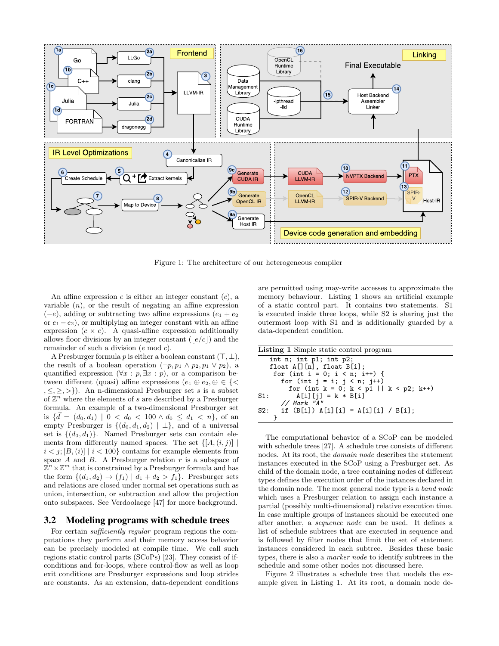<span id="page-2-0"></span>

Figure 1: The architecture of our heterogeneous compiler

An affine expression  $e$  is either an integer constant  $(c)$ , a variable  $(n)$ , or the result of negating an affine expression  $(-e)$ , adding or subtracting two affine expressions  $(e_1 + e_2)$ or  $e_1 - e_2$ ), or multiplying an integer constant with an affine expression  $(c \times e)$ . A quasi-affine expression additionally allows floor divisions by an integer constant  $\left(\frac{e}{c}\right)$  and the remainder of such a division (e mod c).

A Presburger formula p is either a boolean constant  $(\top, \bot)$ , the result of a boolean operation  $(\neg p, p_1 \land p_2, p_1 \lor p_2)$ , a quantified expression  $(\forall x : p, \exists x : p)$ , or a comparison between different (quasi) affine expressions  $(e_1 \oplus e_2, \oplus \in \{\leq \}$  $, \leq, \geq, \geq \}$ ). An n-dimensional Presburger set s is a subset of  $\mathbb{Z}^n$  where the elements of s are described by a Presburger formula. An example of a two-dimensional Presburger set is  $\{\vec{d} = (d_0, d_1) \mid 0 < d_0 < 100 \land d_0 \leq d_1 < n\},\$  of an empty Presburger is  $\{(d_0, d_1, d_2) | \perp\}$ , and of a universal set is  $\{(d_0, d_1)\}\$ . Named Presburger sets can contain elements from differently named spaces. The set  $\{[A,(i,j)]\}$  $i < j$ ; [B, (i)] |  $i < 100$ } contains for example elements from space  $A$  and  $B$ . A Presburger relation  $r$  is a subspace of  $\mathbb{Z}^n \times \mathbb{Z}^m$  that is constrained by a Presburger formula and has the form  $\{(d_1, d_2) \rightarrow (f_1) \mid d_1 + d_2 > f_1\}$ . Presburger sets and relations are closed under normal set operations such as union, intersection, or subtraction and allow the projection onto subspaces. See Verdoolaege [\[47\]](#page-12-3) for more background.

# 3.2 Modeling programs with schedule trees

For certain *sufficiently regular* program regions the computations they perform and their memory access behavior can be precisely modeled at compile time. We call such regions static control parts (SCoPs) [\[23\]](#page-11-11). They consist of ifconditions and for-loops, where control-flow as well as loop exit conditions are Presburger expressions and loop strides are constants. As an extension, data-dependent conditions are permitted using may-write accesses to approximate the memory behaviour. [Listing 1](#page-2-1) shows an artificial example of a static control part. It contains two statements. S1 is executed inside three loops, while S2 is sharing just the outermost loop with S1 and is additionally guarded by a data-dependent condition.

<span id="page-2-1"></span>

| <b>Listing 1</b> Simple static control program    |
|---------------------------------------------------|
| int $n$ ; int $p1$ ; int $p2$ ;                   |
| float $A[] [n]$ , float $B[i]$ ;                  |
| for (int i = 0; i < n; i++) {                     |
| for (int $j = i$ ; $j < n$ ; $j^{++}$ )           |
| for (int $k = 0$ ; $k < p1$    $k < p2$ ; $k+1$ ) |
| $A[i][j] = k * B[i]$<br>S1:                       |
| // Mark "A"                                       |
| S2: if $(B[i]) A[i][i] = A[i][i] / B[i];$         |
|                                                   |

The computational behavior of a SCoP can be modeled with schedule trees [\[27\]](#page-11-9). A schedule tree consists of different nodes. At its root, the domain node describes the statement instances executed in the SCoP using a Presburger set. As child of the domain node, a tree containing nodes of different types defines the execution order of the instances declared in the domain node. The most general node type is a band node which uses a Presburger relation to assign each instance a partial (possibly multi-dimensional) relative execution time. In case multiple groups of instances should be executed one after another, a sequence node can be used. It defines a list of schedule subtrees that are executed in sequence and is followed by filter nodes that limit the set of statement instances considered in each subtree. Besides these basic types, there is also a marker node to identify subtrees in the schedule and some other nodes not discussed here.

[Figure 2](#page-3-0) illustrates a schedule tree that models the example given in [Listing 1.](#page-2-1) At its root, a domain node de-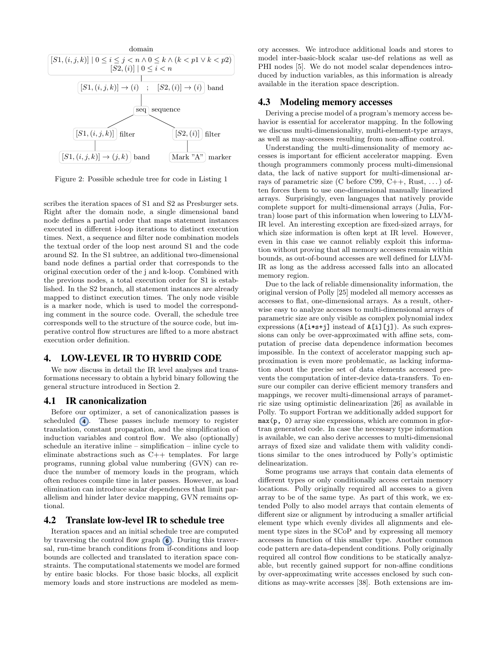<span id="page-3-0"></span>

Figure 2: Possible schedule tree for code in [Listing 1](#page-2-1)

scribes the iteration spaces of S1 and S2 as Presburger sets. Right after the domain node, a single dimensional band node defines a partial order that maps statement instances executed in different i-loop iterations to distinct execution times. Next, a sequence and filter node combination models the textual order of the loop nest around S1 and the code around S2. In the S1 subtree, an additional two-dimensional band node defines a partial order that corresponds to the original execution order of the j and k-loop. Combined with the previous nodes, a total execution order for S1 is established. In the S2 branch, all statement instances are already mapped to distinct execution times. The only node visible is a marker node, which is used to model the corresponding comment in the source code. Overall, the schedule tree corresponds well to the structure of the source code, but imperative control flow structures are lifted to a more abstract execution order definition.

# 4. LOW-LEVEL IR TO HYBRID CODE

We now discuss in detail the IR level analyses and transformations necessary to obtain a hybrid binary following the general structure introduced in [Section 2.](#page-1-3)

#### <span id="page-3-2"></span>4.1 IR canonicalization

Before our optimizer, a set of canonicalization passes is scheduled **[4](#page-2-0)**. These passes include memory to register translation, constant propagation, and the simplification of induction variables and control flow. We also (optionally) schedule an iterative inline – simplification – inline cycle to eliminate abstractions such as C++ templates. For large programs, running global value numbering (GVN) can reduce the number of memory loads in the program, which often reduces compile time in later passes. However, as load elimination can introduce scalar dependences that limit parallelism and hinder later device mapping, GVN remains optional.

# 4.2 Translate low-level IR to schedule tree

Iteration spaces and an initial schedule tree are computed by traversing the control flow graph **[6](#page-2-0)** . During this traversal, run-time branch conditions from if-conditions and loop bounds are collected and translated to iteration space constraints. The computational statements we model are formed by entire basic blocks. For those basic blocks, all explicit memory loads and store instructions are modeled as memory accesses. We introduce additional loads and stores to model inter-basic-block scalar use-def relations as well as PHI nodes [\[5\]](#page-10-10). We do not model scalar dependences introduced by induction variables, as this information is already available in the iteration space description.

## <span id="page-3-1"></span>4.3 Modeling memory accesses

Deriving a precise model of a program's memory access behavior is essential for accelerator mapping. In the following we discuss multi-dimensionality, multi-element-type arrays, as well as may-accesses resulting from non-affine control.

Understanding the multi-dimensionality of memory accesses is important for efficient accelerator mapping. Even though programmers commonly process multi-dimensional data, the lack of native support for multi-dimensional arrays of parametric size (C before C99, C++, Rust, ...) often forces them to use one-dimensional manually linearized arrays. Surprisingly, even languages that natively provide complete support for multi-dimensional arrays (Julia, Fortran) loose part of this information when lowering to LLVM-IR level. An interesting exception are fixed-sized arrays, for which size information is often kept at IR level. However, even in this case we cannot reliably exploit this information without proving that all memory accesses remain within bounds, as out-of-bound accesses are well defined for LLVM-IR as long as the address accessed falls into an allocated memory region.

Due to the lack of reliable dimensionality information, the original version of Polly [\[25\]](#page-11-8) modeled all memory accesses as accesses to flat, one-dimensional arrays. As a result, otherwise easy to analyze accesses to multi-dimensional arrays of parametric size are only visible as complex polynomial index expressions  $(A[i*s+j]$  instead of  $A[i][j]$ ). As such expressions can only be over-approximated with affine sets, computation of precise data dependence information becomes impossible. In the context of accelerator mapping such approximation is even more problematic, as lacking information about the precise set of data elements accessed prevents the computation of inter-device data-transfers. To ensure our compiler can derive efficient memory transfers and mappings, we recover multi-dimensional arrays of parametric size using optimistic delinearization [\[26\]](#page-11-12) as available in Polly. To support Fortran we additionally added support for max(p, 0) array size expressions, which are common in gfortran generated code. In case the necessary type information is available, we can also derive accesses to multi-dimensional arrays of fixed size and validate them with validity conditions similar to the ones introduced by Polly's optimistic delinearization.

Some programs use arrays that contain data elements of different types or only conditionally access certain memory locations. Polly originally required all accesses to a given array to be of the same type. As part of this work, we extended Polly to also model arrays that contain elements of different size or alignment by introducing a smaller artificial element type which evenly divides all alignments and element type sizes in the SCoP and by expressing all memory accesses in function of this smaller type. Another common code pattern are data-dependent conditions. Polly originally required all control flow conditions to be statically analyzable, but recently gained support for non-affine conditions by over-approximating write accesses enclosed by such conditions as may-write accesses [\[38\]](#page-11-13). Both extensions are im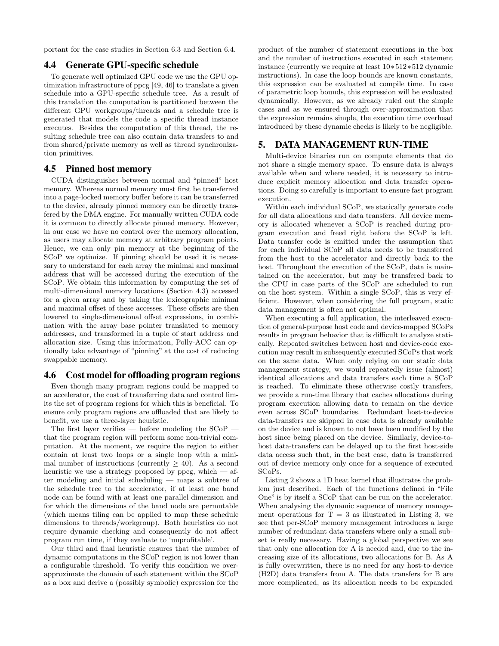portant for the case studies in [Section 6.3](#page-7-0) and [Section 6.4.](#page-8-0)

#### 4.4 Generate GPU-specific schedule

To generate well optimized GPU code we use the GPU optimization infrastructure of ppcg [\[49,](#page-12-4) [46\]](#page-12-2) to translate a given schedule into a GPU-specific schedule tree. As a result of this translation the computation is partitioned between the different GPU workgroups/threads and a schedule tree is generated that models the code a specific thread instance executes. Besides the computation of this thread, the resulting schedule tree can also contain data transfers to and from shared/private memory as well as thread synchronization primitives.

#### 4.5 Pinned host memory

CUDA distinguishes between normal and "pinned" host memory. Whereas normal memory must first be transferred into a page-locked memory buffer before it can be transferred to the device, already pinned memory can be directly transfered by the DMA engine. For manually written CUDA code it is common to directly allocate pinned memory. However, in our case we have no control over the memory allocation, as users may allocate memory at arbitrary program points. Hence, we can only pin memory at the beginning of the SCoP we optimize. If pinning should be used it is necessary to understand for each array the minimal and maximal address that will be accessed during the execution of the SCoP. We obtain this information by computing the set of multi-dimensional memory locations [\(Section 4.3\)](#page-3-1) accessed for a given array and by taking the lexicographic minimal and maximal offset of these accesses. These offsets are then lowered to single-dimensional offset expressions, in combination with the array base pointer translated to memory addresses, and transformed in a tuple of start address and allocation size. Using this information, Polly-ACC can optionally take advantage of "pinning" at the cost of reducing swappable memory.

# <span id="page-4-0"></span>4.6 Cost model for offloading program regions

Even though many program regions could be mapped to an accelerator, the cost of transferring data and control limits the set of program regions for which this is beneficial. To ensure only program regions are offloaded that are likely to benefit, we use a three-layer heuristic.

The first layer verifies — before modeling the  $SCoP$  that the program region will perform some non-trivial computation. At the moment, we require the region to either contain at least two loops or a single loop with a minimal number of instructions (currently  $> 40$ ). As a second heuristic we use a strategy proposed by ppcg, which  $-$  after modeling and initial scheduling — maps a subtree of the schedule tree to the accelerator, if at least one band node can be found with at least one parallel dimension and for which the dimensions of the band node are permutable (which means tiling can be applied to map these schedule dimensions to threads/workgroup). Both heuristics do not require dynamic checking and consequently do not affect program run time, if they evaluate to 'unprofitable'.

Our third and final heuristic ensures that the number of dynamic computations in the SCoP region is not lower than a configurable threshold. To verify this condition we overapproximate the domain of each statement within the SCoP as a box and derive a (possibly symbolic) expression for the product of the number of statement executions in the box and the number of instructions executed in each statement instance (currently we require at least 10∗512∗512 dynamic instructions). In case the loop bounds are known constants, this expression can be evaluated at compile time. In case of parametric loop bounds, this expression will be evaluated dynamically. However, as we already ruled out the simple cases and as we ensured through over-approximation that the expression remains simple, the execution time overhead introduced by these dynamic checks is likely to be negligible.

# <span id="page-4-1"></span>5. DATA MANAGEMENT RUN-TIME

Multi-device binaries run on compute elements that do not share a single memory space. To ensure data is always available when and where needed, it is necessary to introduce explicit memory allocation and data transfer operations. Doing so carefully is important to ensure fast program execution.

Within each individual SCoP, we statically generate code for all data allocations and data transfers. All device memory is allocated whenever a SCoP is reached during program execution and freed right before the SCoP is left. Data transfer code is emitted under the assumption that for each individual SCoP all data needs to be transferred from the host to the accelerator and directly back to the host. Throughout the execution of the SCoP, data is maintained on the accelerator, but may be transfered back to the CPU in case parts of the SCoP are scheduled to run on the host system. Within a single SCoP, this is very efficient. However, when considering the full program, static data management is often not optimal.

When executing a full application, the interleaved execution of general-purpose host code and device-mapped SCoPs results in program behavior that is difficult to analyze statically. Repeated switches between host and device-code execution may result in subsequently executed SCoPs that work on the same data. When only relying on our static data management strategy, we would repeatedly issue (almost) identical allocations and data transfers each time a SCoP is reached. To eliminate these otherwise costly transfers, we provide a run-time library that caches allocations during program execution allowing data to remain on the device even across SCoP boundaries. Redundant host-to-device data-transfers are skipped in case data is already available on the device and is known to not have been modified by the host since being placed on the device. Similarly, device-tohost data-transfers can be delayed up to the first host-side data access such that, in the best case, data is transferred out of device memory only once for a sequence of executed SCoPs.

[Listing 2](#page-5-0) shows a 1D heat kernel that illustrates the problem just described. Each of the functions defined in "File One" is by itself a SCoP that can be run on the accelerator. When analysing the dynamic sequence of memory management operations for  $T = 3$  as illustrated in [Listing 3,](#page-5-1) we see that per-SCoP memory management introduces a large number of redundant data transfers where only a small subset is really necessary. Having a global perspective we see that only one allocation for A is needed and, due to the increasing size of its allocations, two allocations for B. As A is fully overwritten, there is no need for any host-to-device (H2D) data transfers from A. The data transfers for B are more complicated, as its allocation needs to be expanded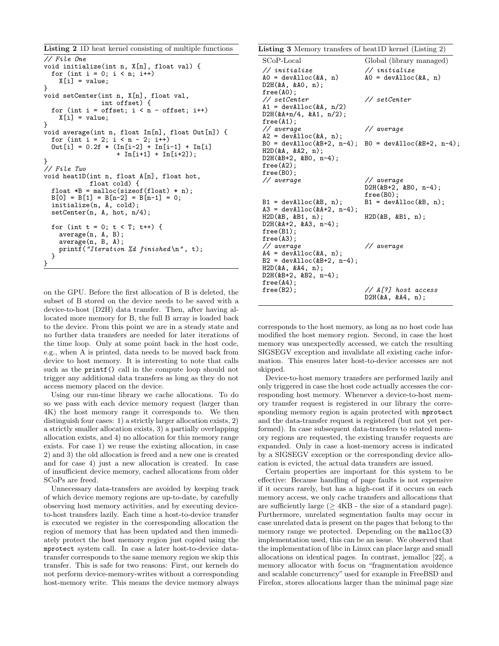```
Listing 2 1D heat kernel consisting of multiple functions
// File One
void initialize(int n, X[n], float val) {
 for (int i = 0; i < n; i++)X[i] = value;}
void setCenter(int n, X[n], float val,
               int offset) {
 for (int i = offset; i < n - offset; i++)X[i] = value;}
void average(int n, float In[n], float Out[n]) {
 for (int i = 2; i < n - 2; i++)Out[i] = 0.2f * (In[i-2] + In[i-1] + In[i]+ In[i+1] + In[i+2]);
}
// File Two
void heat1D(int n, float A[n], float hot,
            float cold) {
 float *B = \text{malloc}(sizeof(float) * n);B[0] = B[1] = B[n-2] = B[n-1] = 0;initialize(n, A, cold);
 setCenter(n, A, hot, n/4);
 for (int t = 0; t < T; t++) {
    average(n, A, B);
    average(n, B, A);
   printf("Iteration %d finished\n", t);
 }
}
```
on the GPU. Before the first allocation of B is deleted, the subset of B stored on the device needs to be saved with a device-to-host (D2H) data transfer. Then, after having allocated more memory for B, the full B array is loaded back to the device. From this point we are in a steady state and no further data transfers are needed for later iterations of the time loop. Only at some point back in the host code, e.g., when A is printed, data needs to be moved back from device to host memory. It is interesting to note that calls such as the printf() call in the compute loop should not trigger any additional data transfers as long as they do not access memory placed on the device.

Using our run-time library we cache allocations. To do so we pass with each device memory request (larger than 4K) the host memory range it corresponds to. We then distinguish four cases: 1) a strictly larger allocation exists, 2) a strictly smaller allocation exists, 3) a partially overlapping allocation exists, and 4) no allocation for this memory range exists. For case 1) we reuse the existing allocation, in case 2) and 3) the old allocation is freed and a new one is created and for case 4) just a new allocation is created. In case of insufficient device memory, cached allocations from older SCoPs are freed.

Unnecessary data-transfers are avoided by keeping track of which device memory regions are up-to-date, by carefully observing host memory activities, and by executing deviceto-host transfers lazily. Each time a host-to-device transfer is executed we register in the corresponding allocation the region of memory that has been updated and then immediately protect the host memory region just copied using the mprotect system call. In case a later host-to-device datatransfer corresponds to the same memory region we skip this transfer. This is safe for two reasons: First, our kernels do not perform device-memory-writes without a corresponding host-memory write. This means the device memory always <span id="page-5-1"></span>Listing 3 Memory transfers of heat1D kernel [\(Listing 2\)](#page-5-0)

| $SCoP-Local$                                                                                                                           | Global (library managed)                            |
|----------------------------------------------------------------------------------------------------------------------------------------|-----------------------------------------------------|
| $\frac{1}{i}$ initialize<br>$AO = devA1loc(kA, n)$<br>$D2H$ (&A, &AO, n);<br>free(A0);                                                 | $\frac{1}{i}$ initialize<br>$AO = devAIloc(kA, n)$  |
| $//$ setCenter<br>$A1 = devA1loc(kA, n/2)$<br>D2H(&A+n/4, &A1, n/2);<br>free(A1);                                                      | $\frac{1}{\sqrt{2}}$ setCenter                      |
| // average<br>$A2 = devA1loc(kA, n);$                                                                                                  | // average                                          |
| H2D(kA, kA2, n);<br>$D2H$ (&B+2, &BO, n-4);<br>free(A2);<br>$free(B0)$ ;                                                               | B0 = devAlloc(&B+2, n-4); B0 = devAlloc(&B+2, n-4); |
| // average                                                                                                                             | // average<br>$D2H$ (&B+2, &B0, n-4);<br>free(B0);  |
| $B1 = devA1loc(kB, n);$<br>$A3 = devA1loc(kA+2, n-4);$                                                                                 | $B1 = devAlloc(kB, n);$                             |
| H2D(&B, &B1, n);<br>$D2H$ (&A+2, &A3, n-4);<br>free(B1);<br>$free(A3)$ ;                                                               | $H2D$ (&B, &B1, n);                                 |
| // average<br>$A4 = devA1loc(kA, n);$<br>$B2 = devA1loc(&B+2, n-4);$<br>$H2D($ &A, &A4, n);<br>$D2H$ (&B+2, &B2, n-4);<br>$free(A4)$ ; | // average                                          |
| free(B2);                                                                                                                              | // A[?] host access<br>D2H(&A, &A4, n);             |

corresponds to the host memory, as long as no host code has modified the host memory region. Second, in case the host memory was unexpectedly accessed, we catch the resulting SIGSEGV exception and invalidate all existing cache information. This ensures later host-to-device accesses are not skipped.

Device-to-host memory transfers are performed lazily and only triggered in case the host code actually accesses the corresponding host memory. Whenever a device-to-host memory transfer request is registered in our library the corresponding memory region is again protected with mprotect and the data-transfer request is registered (but not yet performed). In case subsequent data-transfers to related memory regions are requested, the existing transfer requests are expanded. Only in case a host-memory access is indicated by a SIGSEGV exception or the corresponding device allocation is evicted, the actual data transfers are issued.

Certain properties are important for this system to be effective: Because handling of page faults is not expensive if it occurs rarely, but has a high-cost if it occurs on each memory access, we only cache transfers and allocations that are sufficiently large  $($   $>$  4KB - the size of a standard page). Furthermore, unrelated segmentation faults may occur in case unrelated data is present on the pages that belong to the memory range we protected. Depending on the malloc(3) implementation used, this can be an issue. We observed that the implementation of libc in Linux can place large and small allocations on identical pages. In contrast, jemalloc [\[22\]](#page-11-14), a memory allocator with focus on "fragmentation avoidence and scalable concurrency" used for example in FreeBSD and Firefox, stores allocations larger than the minimal page size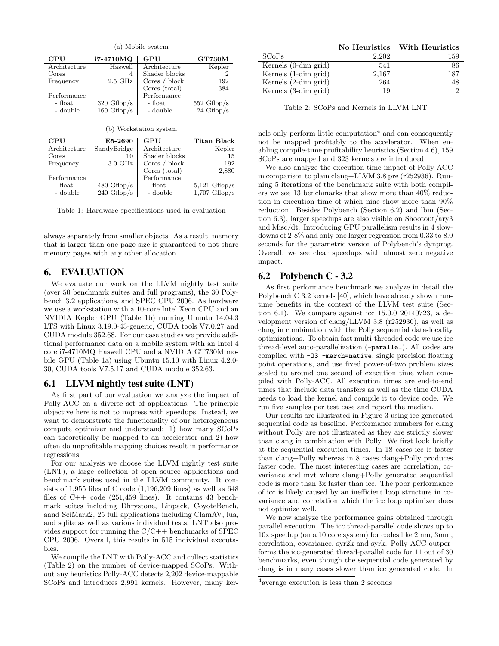<span id="page-6-0"></span>

| (a) Mobile system |                       |                 |                       |
|-------------------|-----------------------|-----------------|-----------------------|
| CPU               | i7-4710MQ             | GPU             | <b>GT730M</b>         |
| Architecture      | Haswell               | Architecture    | Kepler                |
| Cores             | 4                     | Shader blocks   |                       |
| Frequency         | $2.5\text{ GHz}$      | Cores $/$ block | 192                   |
|                   |                       | Cores (total)   | 384                   |
| Performance       |                       | Performance     |                       |
| - float           | $320 \text{ Gflop/s}$ | - float         | $552 \text{ Gflop/s}$ |
| - double          | $160 \text{ Gflop/s}$ | - double        | $24 \text{ Gflop/s}$  |

(b) Workstation system

| CPU          | E5-2690               | GPU             | Titan Black             |
|--------------|-----------------------|-----------------|-------------------------|
| Architecture | SandyBridge           | Architecture    | Kepler                  |
| Cores        | 10                    | Shader blocks   | 15                      |
| Frequency    | $3.0\text{ GHz}$      | Cores $/$ block | 192                     |
|              |                       | Cores (total)   | 2,880                   |
| Performance  |                       | Performance     |                         |
| - float      | $480 \text{ Gflop/s}$ | - float         | $5,121 \text{ Gflop/s}$ |
| - double     | $240 \text{ Gflop/s}$ | - double        | $1,707$ Gflop/s         |

Table 1: Hardware specifications used in evaluation

always separately from smaller objects. As a result, memory that is larger than one page size is guaranteed to not share memory pages with any other allocation.

## 6. EVALUATION

We evaluate our work on the LLVM nightly test suite (over 50 benchmark suites and full programs), the 30 Polybench 3.2 applications, and SPEC CPU 2006. As hardware we use a workstation with a 10-core Intel Xeon CPU and an NVIDIA Kepler GPU [\(Table 1b\)](#page-6-0) running Ubuntu 14.04.3 LTS with Linux 3.19.0-43-generic, CUDA tools V7.0.27 and CUDA module 352.68. For our case studies we provide additional performance data on a mobile system with an Intel 4 core i7-4710MQ Haswell CPU and a NVIDIA GT730M mobile GPU [\(Table 1a\)](#page-6-0) using Ubuntu 15.10 with Linux 4.2.0- 30, CUDA tools V7.5.17 and CUDA module 352.63.

### <span id="page-6-4"></span>6.1 LLVM nightly test suite (LNT)

As first part of our evaluation we analyze the impact of Polly-ACC on a diverse set of applications. The principle objective here is not to impress with speedups. Instead, we want to demonstrate the functionality of our heterogeneous compute optimizer and understand: 1) how many SCoPs can theoretically be mapped to an accelerator and 2) how often do unprofitable mapping choices result in performance regressions.

For our analysis we choose the LLVM nightly test suite (LNT), a large collection of open source applications and benchmark suites used in the LLVM community. It consists of 1,955 files of C code (1,196,209 lines) as well as 648 files of  $C++$  code (251,459 lines). It contains 43 benchmark suites including Dhrystone, Linpack, CoyoteBench, aand SciMark2, 25 full applications including ClamAV, lua, and sqlite as well as various individual tests. LNT also provides support for running the  $C/C++$  benchmarks of SPEC CPU 2006. Overall, this results in 515 individual executables.

We compile the LNT with Polly-ACC and collect statistics [\(Table 2\)](#page-6-1) on the number of device-mapped SCoPs. Without any heuristics Polly-ACC detects 2,202 device-mappable SCoPs and introduces 2,991 kernels. However, many ker-

<span id="page-6-1"></span>

|                      | No Heuristics | With Heuristics |
|----------------------|---------------|-----------------|
| <b>SCoPs</b>         | 2.202         | 159             |
| Kernels (0-dim grid) | 541           | 86              |
| Kernels (1-dim grid) | 2,167         | 187             |
| Kernels (2-dim grid) | 264           | 48              |
| Kernels (3-dim grid) | 19            |                 |

Table 2: SCoPs and Kernels in LLVM LNT

nels only perform little computation<sup>[4](#page-6-2)</sup> and can consequently not be mapped profitably to the accelerator. When enabling compile-time profitability heuristics [\(Section 4.6\)](#page-4-0), 159 SCoPs are mapped and 323 kernels are introduced.

We also analyze the execution time impact of Polly-ACC in comparison to plain clang+LLVM 3.8 pre (r252936). Running 5 iterations of the benchmark suite with both compilers we see 13 benchmarks that show more than 40% reduction in execution time of which nine show more than 90% reduction. Besides Polybench [\(Section 6.2\)](#page-6-3) and lbm [\(Sec](#page-7-0)[tion 6.3\)](#page-7-0), larger speedups are also visible on Shootout/ary3 and Misc/dt. Introducing GPU parallelism results in 4 slowdowns of 2-8% and only one larger regression from 0.33 to 8.0 seconds for the parametric version of Polybench's dynprog. Overall, we see clear speedups with almost zero negative impact.

# <span id="page-6-3"></span>6.2 Polybench C - 3.2

As first performance benchmark we analyze in detail the Polybench C 3.2 kernels [\[40\]](#page-11-15), which have already shown runtime benefits in the context of the LLVM test suite [\(Sec](#page-6-4)[tion 6.1\)](#page-6-4). We compare against icc 15.0.0 20140723, a development version of clang/LLVM 3.8 (r252936), as well as clang in combination with the Polly sequential data-locality optimizations. To obtain fast multi-threaded code we use icc thread-level auto-parallelization (-parallel). All codes are compiled with -O3 -march=native, single precision floating point operations, and use fixed power-of-two problem sizes scaled to around one second of execution time when compiled with Polly-ACC. All execution times are end-to-end times that include data transfers as well as the time CUDA needs to load the kernel and compile it to device code. We run five samples per test case and report the median.

Our results are illustrated in [Figure 3](#page-7-1) using icc generated sequential code as baseline. Performance numbers for clang without Polly are not illustrated as they are strictly slower than clang in combination with Polly. We first look briefly at the sequential execution times. In 18 cases icc is faster than clang+Polly whereas in 8 cases clang+Polly produces faster code. The most interesting cases are correlation, covariance and mvt where clang+Polly generated sequential code is more than 3x faster than icc. The poor performance of icc is likely caused by an inefficient loop structure in covariance and correlation which the icc loop optimizer does not optimize well.

We now analyze the performance gains obtained through parallel execution. The icc thread-parallel code shows up to 10x speedup (on a 10 core system) for codes like 2mm, 3mm, correlation, covariance, syr2k and syrk. Polly-ACC outperforms the icc-generated thread-parallel code for 11 out of 30 benchmarks, even though the sequential code generated by clang is in many cases slower than icc generated code. In

<span id="page-6-2"></span><sup>4</sup> average execution is less than 2 seconds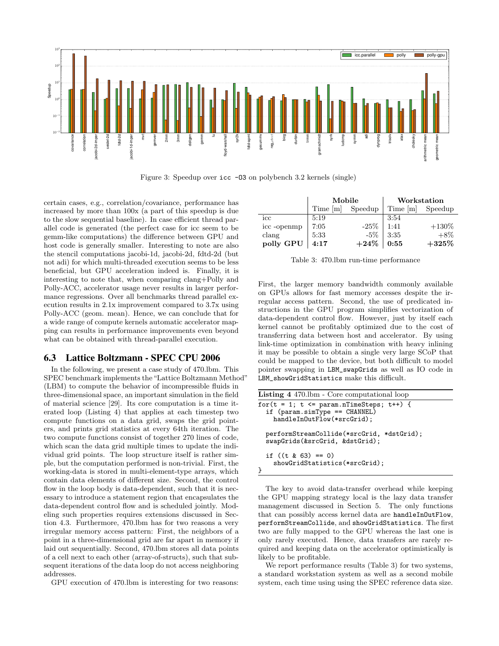<span id="page-7-1"></span>

Figure 3: Speedup over icc -O3 on polybench 3.2 kernels (single)

certain cases, e.g., correlation/covariance, performance has increased by more than 100x (a part of this speedup is due to the slow sequential baseline). In case efficient thread parallel code is generated (the perfect case for icc seem to be gemm-like computations) the difference between GPU and host code is generally smaller. Interesting to note are also the stencil computations jacobi-1d, jacobi-2d, fdtd-2d (but not adi) for which multi-threaded execution seems to be less beneficial, but GPU acceleration indeed is. Finally, it is interesting to note that, when comparing clang+Polly and Polly-ACC, accelerator usage never results in larger performance regressions. Over all benchmarks thread parallel execution results in 2.1x improvement compared to 3.7x using Polly-ACC (geom. mean). Hence, we can conclude that for a wide range of compute kernels automatic accelerator mapping can results in performance improvements even beyond what can be obtained with thread-parallel execution.

### <span id="page-7-0"></span>6.3 Lattice Boltzmann - SPEC CPU 2006

In the following, we present a case study of 470.lbm. This SPEC benchmark implements the"Lattice Boltzmann Method" (LBM) to compute the behavior of incompressible fluids in three-dimensional space, an important simulation in the field of material science [\[29\]](#page-11-16). Its core computation is a time iterated loop [\(Listing 4\)](#page-7-2) that applies at each timestep two compute functions on a data grid, swaps the grid pointers, and prints grid statistics at every 64th iteration. The two compute functions consist of together 270 lines of code, which scan the data grid multiple times to update the individual grid points. The loop structure itself is rather simple, but the computation performed is non-trivial. First, the working-data is stored in multi-element-type arrays, which contain data elements of different size. Second, the control flow in the loop body is data-dependent, such that it is necessary to introduce a statement region that encapsulates the data-dependent control flow and is scheduled jointly. Modeling such properties requires extensions discussed in [Sec](#page-3-1)[tion 4.3.](#page-3-1) Furthermore, 470.lbm has for two reasons a very irregular memory access pattern: First, the neighbors of a point in a three-dimensional grid are far apart in memory if laid out sequentially. Second, 470.lbm stores all data points of a cell next to each other (array-of-structs), such that subsequent iterations of the data loop do not access neighboring addresses.

GPU execution of 470.lbm is interesting for two reasons:

<span id="page-7-3"></span>

|                        | Mobile   |         | Workstation |          |
|------------------------|----------|---------|-------------|----------|
|                        | Time [m] | Speedup | Time [m]    | Speedup  |
| icc                    | 5:19     |         | 3:54        |          |
| $\mathrm{icc}$ -openmp | 7:05     | $-25%$  | 1:41        | $+130\%$ |
| clang                  | 5:33     | $-5\%$  | 3:35        | $+8\%$   |
| polly GPU              | 4:17     | $+24%$  | 0:55        | $+325%$  |

Table 3: 470.lbm run-time performance

First, the larger memory bandwidth commonly available on GPUs allows for fast memory accesses despite the irregular access pattern. Second, the use of predicated instructions in the GPU program simplifies vectorization of data-dependent control flow. However, just by itself each kernel cannot be profitably optimized due to the cost of transferring data between host and accelerator. By using link-time optimization in combination with heavy inlining it may be possible to obtain a single very large SCoP that could be mapped to the device, but both difficult to model pointer swapping in LBM\_swapGrids as well as IO code in LBM\_showGridStatistics make this difficult.

<span id="page-7-2"></span>

| <b>Listing 4</b> 470.1bm - Core computational loop                                                                |
|-------------------------------------------------------------------------------------------------------------------|
| for $(t = 1; t \leq$ param.nTimeSteps; $t$ ++) {<br>if $(param.simType == CHANNEL)$<br>handleInOutFlow(*srcGrid); |
| performStreamCollide(*srcGrid, *dstGrid);<br>swapGrids(&srcGrid, &dstGrid);                                       |
| if $((t \& 63) == 0)$<br>showGridStatistics(*srcGrid);                                                            |

The key to avoid data-transfer overhead while keeping the GPU mapping strategy local is the lazy data transfer management discussed in [Section 5.](#page-4-1) The only functions that can possibly access kernel data are handleInOutFlow, performStreamCollide, and showGridStatistics. The first two are fully mapped to the GPU whereas the last one is only rarely executed. Hence, data transfers are rarely required and keeping data on the accelerator optimistically is likely to be profitable.

We report performance results [\(Table 3\)](#page-7-3) for two systems, a standard workstation system as well as a second mobile system, each time using using the SPEC reference data size.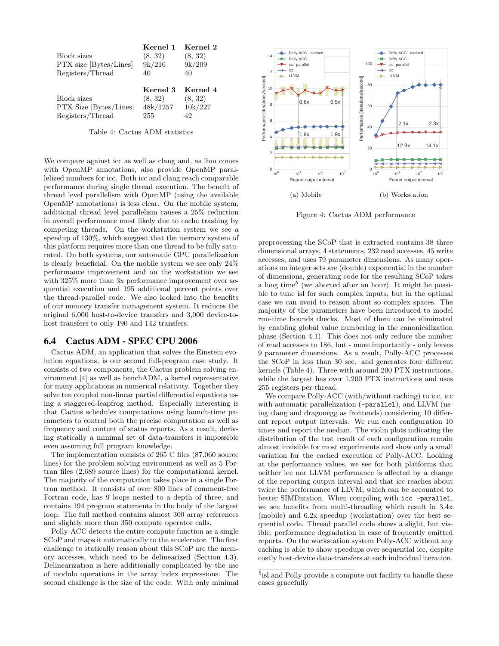<span id="page-8-2"></span>

| <b>Block</b> sizes<br>PTX size [Bytes/Lines]<br>Registers/Thread | Kernel 1<br>(8, 32)<br>9k/216<br>40    | Kernel 2<br>(8, 32)<br>9k/209<br>40  |
|------------------------------------------------------------------|----------------------------------------|--------------------------------------|
| <b>Block sizes</b><br>PTX Size [Bytes/Lines]<br>Registers/Thread | Kernel 3<br>(8, 32)<br>48k/1257<br>255 | Kernel 4<br>(8, 32)<br>10k/227<br>42 |

Table 4: Cactus ADM statistics

We compare against icc as well as clang and, as lbm comes with OpenMP annotations, also provide OpenMP parallelized numbers for icc. Both icc and clang reach comparable performance during single thread execution. The benefit of thread level parallelism with OpenMP (using the available OpenMP annotations) is less clear. On the mobile system, additional thread level parallelism causes a 25% reduction in overall performance most likely due to cache trashing by competing threads. On the workstation system we see a speedup of 130%, which suggest that the memory system of this platform requires more than one thread to be fully saturated. On both systems, our automatic GPU parallelization is clearly beneficial. On the mobile system we see only 24% performance improvement and on the workstation we see with 325% more than 3x performance improvement over sequential execution and 195 additional percent points over the thread-parallel code. We also looked into the benefits of our memory transfer management system. It reduces the original 6,000 host-to-device transfers and 3,000 device-tohost transfers to only 190 and 142 transfers.

#### <span id="page-8-0"></span>6.4 Cactus ADM - SPEC CPU 2006

Cactus ADM, an application that solves the Einstein evolution equations, is our second full-program case study. It consists of two components, the Cactus problem solving environment [\[4\]](#page-10-11) as well as benchADM, a kernel representative for many applications in numerical relativity. Together they solve ten coupled non-linear partial differential equations using a staggered-leapfrog method. Especially interesting is that Cactus schedules computations using launch-time parameters to control both the precise computation as well as frequency and content of status reports. As a result, deriving statically a minimal set of data-transfers is impossible even assuming full program knowledge.

The implementation consists of 265 C files (87,060 source lines) for the problem solving environment as well as 5 Fortran files (2,689 source lines) for the computational kernel. The majority of the computation takes place in a single Fortran method. It consists of over 800 lines of comment-free Fortran code, has 9 loops nested to a depth of three, and contains 194 program statements in the body of the largest loop. The full method contains almost 300 array references and slightly more than 350 compute operator calls.

Polly-ACC detects the entire compute function as a single SCoP and maps it automatically to the accelerator. The first challenge to statically reason about this SCoP are the memory accesses, which need to be delinearized [\(Section 4.3\)](#page-3-1). Delinearization is here additionally complicated by the use of modulo operations in the array index expressions. The second challenge is the size of the code. With only minimal



Figure 4: Cactus ADM performance

preprocessing the SCoP that is extracted contains 38 three dimensional arrays, 4 statements, 232 read accesses, 45 write accesses, and uses 79 parameter dimensions. As many operations on integer sets are (double) exponential in the number of dimensions, generating code for the resulting SCoP takes a long time<sup>[5](#page-8-1)</sup> (we aborted after an hour). It might be possible to tune isl for such complex inputs, but in the optimal case we can avoid to reason about so complex spaces. The majority of the parameters have been introduced to model run-time bounds checks. Most of them can be eliminated by enabling global value numbering in the canonicalization phase [\(Section 4.1\)](#page-3-2). This does not only reduce the number of read accesses to 186, but - more importantly - only leaves 9 parameter dimensions. As a result, Polly-ACC processes the SCoP in less than 30 sec. and generates four different kernels [\(Table 4\)](#page-8-2). Three with around 200 PTX instructions, while the largest has over 1,200 PTX instructions and uses 255 registers per thread.

We compare Polly-ACC (with/without caching) to icc, icc with automatic parallelization (-parallel), and LLVM (using clang and dragonegg as frontends) considering 10 different report output intervals. We run each configuration 10 times and report the median. The violin plots indicating the distribution of the test result of each configuration remain almost invisible for most experiments and show only a small variation for the cached execution of Polly-ACC. Looking at the performance values, we see for both platforms that neither icc nor LLVM performance is affected by a change of the reporting output interval and that icc reaches about twice the performance of LLVM, which can be accounted to better SIMDization. When compiling with icc -parallel, we see benefits from multi-threading which result in 3.4x (mobile) and 6.2x speedup (workstation) over the best sequential code. Thread parallel code shows a slight, but visible, performance degradation in case of frequently emitted reports. On the workstation system Polly-ACC without any caching is able to show speedups over sequential icc, despite costly host-device data-transfers at each individual iteration.

<span id="page-8-1"></span><sup>&</sup>lt;sup>5</sup>isl and Polly provide a compute-out facility to handle these cases gracefully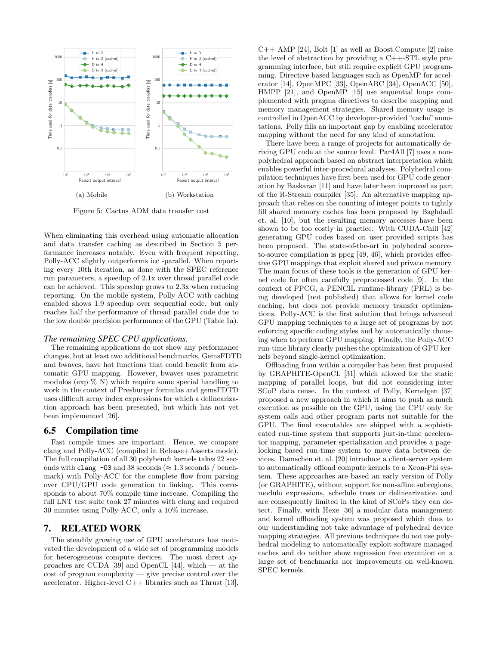

Figure 5: Cactus ADM data transfer cost

When eliminating this overhead using automatic allocation and data transfer caching as described in [Section 5](#page-4-1) performance increases notably. Even with frequent reporting, Polly-ACC slightly outperforms icc -parallel. When reporting every 10th iteration, as done with the SPEC reference run parameters, a speedup of 2.1x over thread parallel code can be achieved. This speedup grows to 2.3x when reducing reporting. On the mobile system, Polly-ACC with caching enabled shows 1.9 speedup over sequential code, but only reaches half the performance of thread parallel code due to the low double precision performance of the GPU [\(Table 1a\)](#page-6-0).

#### *The remaining SPEC CPU applications.*

The remaining applications do not show any performance changes, but at least two additional benchmarks, GemsFDTD and bwaves, have hot functions that could benefit from automatic GPU mapping. However, bwaves uses parametric modulos ( $\exp \%$  N) which require some special handling to work in the context of Presburger formulas and gemsFDTD uses difficult array index expressions for which a delinearization approach has been presented, but which has not yet been implemented [\[26\]](#page-11-12).

## 6.5 Compilation time

Fast compile times are important. Hence, we compare clang and Polly-ACC (compiled in Release+Asserts mode). The full compilation of all 30 polybench kernels takes 22 seconds with clang -03 and 38 seconds ( $\approx$  1.3 seconds / benchmark) with Polly-ACC for the complete flow from parsing over CPU/GPU code generation to linking. This corresponds to about 70% compile time increase. Compiling the full LNT test suite took 27 minutes with clang and required 30 minutes using Polly-ACC, only a 10% increase.

#### 7. RELATED WORK

The steadily growing use of GPU accelerators has motivated the development of a wide set of programming models for heterogeneous compute devices. The most direct approaches are CUDA [\[39\]](#page-11-0) and OpenCL [\[44\]](#page-11-17), which — at the cost of program complexity — give precise control over the accelerator. Higher-level  $C++$  libraries such as Thrust [\[13\]](#page-10-2),  $C++$  AMP [\[24\]](#page-11-18), Bolt [\[1\]](#page-10-12) as well as Boost.Compute [\[2\]](#page-10-13) raise the level of abstraction by providing a C++-STL style programming interface, but still require explicit GPU programming. Directive based languages such as OpenMP for accelerator [\[14\]](#page-10-14), OpenMPC [\[33\]](#page-11-19), OpenARC [\[34\]](#page-11-20), OpenACC [\[50\]](#page-12-0), HMPP [\[21\]](#page-11-21), and OpenMP [\[15\]](#page-10-5) use sequential loops complemented with pragma directives to describe mapping and memory management strategies. Shared memory usage is controlled in OpenACC by developer-provided "cache" annotations. Polly fills an important gap by enabling accelerator mapping without the need for any kind of annotation.

There have been a range of projects for automatically deriving GPU code at the source level. Par4All [\[7\]](#page-10-15) uses a nonpolyhedral approach based on abstract interpretation which enables powerful inter-procedural analyses. Polyhedral compilation techniques have first been used for GPU code generation by Baskaran [\[11\]](#page-10-6) and have later been improved as part of the R-Stream compiler [\[35\]](#page-11-22). An alternative mapping approach that relies on the counting of integer points to tightly fill shared memory caches has been proposed by Baghdadi et. al. [\[10\]](#page-10-16), but the resulting memory accesses have been shown to be too costly in practice. With CUDA-Chill [\[42\]](#page-11-23) generating GPU codes based on user provided scripts has been proposed. The state-of-the-art in polyhedral sourceto-source compilation is ppcg [\[49,](#page-12-4) [46\]](#page-12-2), which provides effective GPU mappings that exploit shared and private memory. The main focus of these tools is the generation of GPU kernel code for often carefully preprocessed code [\[9\]](#page-10-17). In the context of PPCG, a PENCIL runtime-library (PRL) is being developed (not published) that allows for kernel code caching, but does not provide memory transfer optimizations. Polly-ACC is the first solution that brings advanced GPU mapping techniques to a large set of programs by not enforcing specific coding styles and by automatically choosing when to perform GPU mapping. Finally, the Polly-ACC run-time library clearly pushes the optimization of GPU kernels beyond single-kernel optimization.

Offloading from within a compiler has been first proposed by GRAPHITE-OpenCL [\[31\]](#page-11-24) which allowed for the static mapping of parallel loops, but did not considering inter SCoP data reuse. In the context of Polly, Kernelgen [\[37\]](#page-11-6) proposed a new approach in which it aims to push as much execution as possible on the GPU, using the CPU only for system calls and other program parts not suitable for the GPU. The final executables are shipped with a sophisticated run-time system that supports just-in-time accelerator mapping, parameter specialization and provides a pagelocking based run-time system to move data between devices. Damschen et. al. [\[20\]](#page-11-25) introduce a client-server system to automatically offload compute kernels to a Xeon-Phi system. These approaches are based an early version of Polly (or GRAPHITE), without support for non-affine subregions, modulo expressions, schedule trees or delinearization and are consequently limited in the kind of SCoPs they can detect. Finally, with Hexe [\[36\]](#page-11-26) a modular data management and kernel offloading system was proposed which does to our understanding not take advantage of polyhedral device mapping strategies. All previous techniques do not use polyhedral modeling to automatically exploit software managed caches and do neither show regression free execution on a large set of benchmarks nor improvements on well-known SPEC kernels.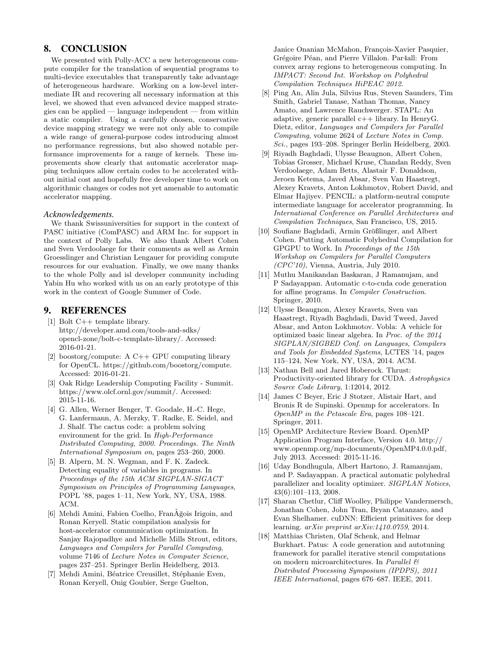# 8. CONCLUSION

We presented with Polly-ACC a new heterogeneous compute compiler for the translation of sequential programs to multi-device executables that transparently take advantage of heterogeneous hardware. Working on a low-level intermediate IR and recovering all necessary information at this level, we showed that even advanced device mapped strategies can be applied — language independent — from within a static compiler. Using a carefully chosen, conservative device mapping strategy we were not only able to compile a wide range of general-purpose codes introducing almost no performance regressions, but also showed notable performance improvements for a range of kernels. These improvements show clearly that automatic accelerator mapping techniques allow certain codes to be accelerated without initial cost and hopefully free developer time to work on algorithmic changes or codes not yet amenable to automatic accelerator mapping.

#### *Acknowledgements.*

We thank Swissuniversities for support in the context of PASC initiative (ComPASC) and ARM Inc. for support in the context of Polly Labs. We also thank Albert Cohen and Sven Verdoolaege for their comments as well as Armin Groesslinger and Christian Lengauer for providing compute resources for our evaluation. Finally, we owe many thanks to the whole Polly and isl developer community including Yabin Hu who worked with us on an early prototype of this work in the context of Google Summer of Code.

# 9. REFERENCES

- <span id="page-10-12"></span>[1] Bolt C++ template library. [http://developer.amd.com/tools-and-sdks/](http://developer.amd.com/tools-and-sdks/opencl-zone/bolt-c-template-library/) [opencl-zone/bolt-c-template-library/.](http://developer.amd.com/tools-and-sdks/opencl-zone/bolt-c-template-library/) Accessed: 2016-01-21.
- <span id="page-10-13"></span>[2] boostorg/compute: A C++ GPU computing library for OpenCL. [https://github.com/boostorg/compute.](https://github.com/boostorg/compute) Accessed: 2016-01-21.
- <span id="page-10-8"></span>[3] Oak Ridge Leadership Computing Facility - Summit. [https://www.olcf.ornl.gov/summit/.](https://www.olcf.ornl.gov/summit/) Accessed: 2015-11-16.
- <span id="page-10-11"></span>[4] G. Allen, Werner Benger, T. Goodale, H.-C. Hege, G. Lanfermann, A. Merzky, T. Radke, E. Seidel, and J. Shalf. The cactus code: a problem solving environment for the grid. In High-Performance Distributed Computing, 2000. Proceedings. The Ninth International Symposium on, pages 253–260, 2000.
- <span id="page-10-10"></span>[5] B. Alpern, M. N. Wegman, and F. K. Zadeck. Detecting equality of variables in programs. In Proceedings of the 15th ACM SIGPLAN-SIGACT Symposium on Principles of Programming Languages, POPL '88, pages 1–11, New York, NY, USA, 1988. ACM.
- <span id="page-10-7"></span>[6] Mehdi Amini, Fabien Coelho, Fran $\tilde{A}$ ğois Irigoin, and Ronan Keryell. Static compilation analysis for host-accelerator communication optimization. In Sanjay Rajopadhye and Michelle Mills Strout, editors, Languages and Compilers for Parallel Computing, volume 7146 of Lecture Notes in Computer Science, pages 237–251. Springer Berlin Heidelberg, 2013.
- <span id="page-10-15"></span>[7] Mehdi Amini, Béatrice Creusillet, Stéphanie Even, Ronan Keryell, Onig Goubier, Serge Guelton,

Janice Onanian McMahon, François-Xavier Pasquier, Grégoire Péan, and Pierre Villalon. Par4all: From convex array regions to heterogeneous computing. In IMPACT: Second Int. Workshop on Polyhedral Compilation Techniques HiPEAC 2012.

- <span id="page-10-3"></span>[8] Ping An, Alin Jula, Silvius Rus, Steven Saunders, Tim Smith, Gabriel Tanase, Nathan Thomas, Nancy Amato, and Lawrence Rauchwerger. STAPL: An adaptive, generic parallel c++ library. In HenryG. Dietz, editor, Languages and Compilers for Parallel Computing, volume 2624 of Lecture Notes in Comp. Sci., pages 193–208. Springer Berlin Heidelberg, 2003.
- <span id="page-10-17"></span>[9] Riyadh Baghdadi, Ulysse Beaugnon, Albert Cohen, Tobias Grosser, Michael Kruse, Chandan Reddy, Sven Verdoolaege, Adam Betts, Alastair F. Donaldson, Jeroen Ketema, Javed Absar, Sven Van Haastregt, Alexey Kravets, Anton Lokhmotov, Robert David, and Elmar Hajiyev. PENCIL: a platform-neutral compute intermediate language for accelerator programming. In International Conference on Parallel Architectures and Compilation Techniques, San Francisco, US, 2015.
- <span id="page-10-16"></span>[10] Soufiane Baghdadi, Armin Größlinger, and Albert Cohen. Putting Automatic Polyhedral Compilation for GPGPU to Work. In Proceedings of the 15th Workshop on Compilers for Parallel Computers  $(CPC'10)$ , Vienna, Austria, July 2010.
- <span id="page-10-6"></span>[11] Muthu Manikandan Baskaran, J Ramanujam, and P Sadayappan. Automatic c-to-cuda code generation for affine programs. In Compiler Construction. Springer, 2010.
- <span id="page-10-1"></span>[12] Ulysse Beaugnon, Alexey Kravets, Sven van Haastregt, Riyadh Baghdadi, David Tweed, Javed Absar, and Anton Lokhmotov. Vobla: A vehicle for optimized basic linear algebra. In Proc. of the 2014 SIGPLAN/SIGBED Conf. on Languages, Compilers and Tools for Embedded Systems, LCTES '14, pages 115–124, New York, NY, USA, 2014. ACM.
- <span id="page-10-2"></span>[13] Nathan Bell and Jared Hoberock. Thrust: Productivity-oriented library for CUDA. Astrophysics Source Code Library, 1:12014, 2012.
- <span id="page-10-14"></span>[14] James C Beyer, Eric J Stotzer, Alistair Hart, and Bronis R de Supinski. Openmp for accelerators. In OpenMP in the Petascale Era, pages 108–121. Springer, 2011.
- <span id="page-10-5"></span>[15] OpenMP Architecture Review Board. OpenMP Application Program Interface, Version 4.0. [http://](http://www.openmp.org/mp-documents/OpenMP4.0.0.pdf) [www.openmp.org/mp-documents/OpenMP4.0.0.pdf,](http://www.openmp.org/mp-documents/OpenMP4.0.0.pdf) July 2013. Accessed: 2015-11-16.
- <span id="page-10-9"></span>[16] Uday Bondhugula, Albert Hartono, J. Ramanujam, and P. Sadayappan. A practical automatic polyhedral parallelizer and locality optimizer. SIGPLAN Notices, 43(6):101–113, 2008.
- <span id="page-10-4"></span>[17] Sharan Chetlur, Cliff Woolley, Philippe Vandermersch, Jonathan Cohen, John Tran, Bryan Catanzaro, and Evan Shelhamer. cuDNN: Efficient primitives for deep learning. arXiv preprint arXiv:1410.0759, 2014.
- <span id="page-10-0"></span>[18] Matthias Christen, Olaf Schenk, and Helmar Burkhart. Patus: A code generation and autotuning framework for parallel iterative stencil computations on modern microarchitectures. In Parallel & Distributed Processing Symposium (IPDPS), 2011 IEEE International, pages 676–687. IEEE, 2011.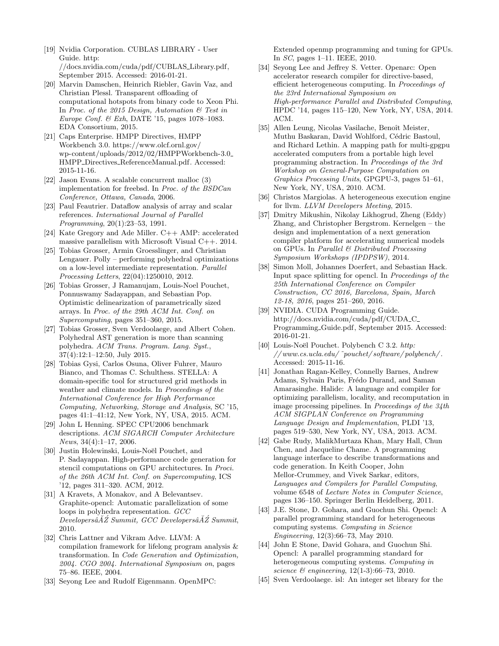- <span id="page-11-5"></span>[19] Nvidia Corporation. CUBLAS LIBRARY - User Guide. [http:](http://docs.nvidia.com/cuda/pdf/CUBLAS_Library.pdf) [//docs.nvidia.com/cuda/pdf/CUBLAS](http://docs.nvidia.com/cuda/pdf/CUBLAS_Library.pdf) Library.pdf, September 2015. Accessed: 2016-01-21.
- <span id="page-11-25"></span>[20] Marvin Damschen, Heinrich Riebler, Gavin Vaz, and Christian Plessl. Transparent offloading of computational hotspots from binary code to Xeon Phi. In Proc. of the 2015 Design, Automation  $\mathcal{B}$  Test in Europe Conf. & Exh, DATE '15, pages 1078–1083. EDA Consortium, 2015.
- <span id="page-11-21"></span>[21] Caps Enterprise. HMPP Directives, HMPP Workbench 3.0. [https://www.olcf.ornl.gov/](https://www.olcf.ornl.gov/wp-content/uploads/2012/02/HMPPWorkbench-3.0_HMPP_Directives_ReferenceManual.pdf) [wp-content/uploads/2012/02/HMPPWorkbench-3.0](https://www.olcf.ornl.gov/wp-content/uploads/2012/02/HMPPWorkbench-3.0_HMPP_Directives_ReferenceManual.pdf) HMPP Directives [ReferenceManual.pdf.](https://www.olcf.ornl.gov/wp-content/uploads/2012/02/HMPPWorkbench-3.0_HMPP_Directives_ReferenceManual.pdf) Accessed: 2015-11-16.
- <span id="page-11-14"></span>[22] Jason Evans. A scalable concurrent malloc (3) implementation for freebsd. In Proc. of the BSDCan Conference, Ottawa, Canada, 2006.
- <span id="page-11-11"></span>[23] Paul Feautrier. Dataflow analysis of array and scalar references. International Journal of Parallel Programming, 20(1):23–53, 1991.
- <span id="page-11-18"></span>[24] Kate Gregory and Ade Miller. C++ AMP: accelerated massive parallelism with Microsoft Visual C++. 2014.
- <span id="page-11-8"></span>[25] Tobias Grosser, Armin Groesslinger, and Christian Lengauer. Polly – performing polyhedral optimizations on a low-level intermediate representation. Parallel Processing Letters, 22(04):1250010, 2012.
- <span id="page-11-12"></span>[26] Tobias Grosser, J Ramanujam, Louis-Noel Pouchet, Ponnuswamy Sadayappan, and Sebastian Pop. Optimistic delinearization of parametrically sized arrays. In Proc. of the 29th ACM Int. Conf. on Supercomputing, pages 351–360, 2015.
- <span id="page-11-9"></span>[27] Tobias Grosser, Sven Verdoolaege, and Albert Cohen. Polyhedral AST generation is more than scanning polyhedra. ACM Trans. Program. Lang. Syst., 37(4):12:1–12:50, July 2015.
- <span id="page-11-3"></span>[28] Tobias Gysi, Carlos Osuna, Oliver Fuhrer, Mauro Bianco, and Thomas C. Schulthess. STELLA: A domain-specific tool for structured grid methods in weather and climate models. In Proceedings of the International Conference for High Performance Computing, Networking, Storage and Analysis, SC '15, pages 41:1–41:12, New York, NY, USA, 2015. ACM.
- <span id="page-11-16"></span>[29] John L Henning. SPEC CPU2006 benchmark descriptions. ACM SIGARCH Computer Architecture News, 34(4):1–17, 2006.
- <span id="page-11-2"></span>[30] Justin Holewinski, Louis-Noël Pouchet, and P. Sadayappan. High-performance code generation for stencil computations on GPU architectures. In Proci. of the 26th ACM Int. Conf. on Supercomputing, ICS '12, pages 311–320. ACM, 2012.
- <span id="page-11-24"></span>[31] A Kravets, A Monakov, and A Belevantsev. Graphite-opencl: Automatic parallelization of some loops in polyhedra representation. GCC  $Developers\hat{a}\check{A}\check{Z}$  Summit,  $GCC$  Developers $\hat{a}\check{A}\check{Z}$  Summit, 2010.
- <span id="page-11-7"></span>[32] Chris Lattner and Vikram Adve. LLVM: A compilation framework for lifelong program analysis & transformation. In Code Generation and Optimization, 2004. CGO 2004. International Symposium on, pages 75–86. IEEE, 2004.
- <span id="page-11-19"></span>[33] Seyong Lee and Rudolf Eigenmann. OpenMPC:

Extended openmp programming and tuning for GPUs. In SC, pages 1–11. IEEE, 2010.

- <span id="page-11-20"></span>[34] Seyong Lee and Jeffrey S. Vetter. Openarc: Open accelerator research compiler for directive-based, efficient heterogeneous computing. In Proceedings of the 23rd International Symposium on High-performance Parallel and Distributed Computing, HPDC '14, pages 115–120, New York, NY, USA, 2014. ACM.
- <span id="page-11-22"></span>[35] Allen Leung, Nicolas Vasilache, Benoît Meister, Muthu Baskaran, David Wohlford, Cédric Bastoul, and Richard Lethin. A mapping path for multi-gpgpu accelerated computers from a portable high level programming abstraction. In Proceedings of the 3rd Workshop on General-Purpose Computation on Graphics Processing Units, GPGPU-3, pages 51–61, New York, NY, USA, 2010. ACM.
- <span id="page-11-26"></span>[36] Christos Margiolas. A heterogeneous execution engine for llvm. LLVM Developers Meeting, 2015.
- <span id="page-11-6"></span>[37] Dmitry Mikushin, Nikolay Likhogrud, Zheng (Eddy) Zhang, and Christopher Bergstrom. Kernelgen – the design and implementation of a next generation compiler platform for accelerating numerical models on GPUs. In Parallel & Distributed Processing Symposium Workshops (IPDPSW), 2014.
- <span id="page-11-13"></span>[38] Simon Moll, Johannes Doerfert, and Sebastian Hack. Input space splitting for opencl. In Proceedings of the 25th International Conference on Compiler Construction, CC 2016, Barcelona, Spain, March 12-18, 2016, pages 251–260, 2016.
- <span id="page-11-0"></span>[39] NVIDIA. CUDA Programming Guide. [http://docs.nvidia.com/cuda/pdf/CUDA](http://docs.nvidia.com/cuda/pdf/CUDA_C_Programming_Guide.pdf) C [Programming](http://docs.nvidia.com/cuda/pdf/CUDA_C_Programming_Guide.pdf) Guide.pdf, September 2015. Accessed: 2016-01-21.
- <span id="page-11-15"></span>[40] Louis-Noël Pouchet. Polybench C 3.2. [http:](http://www.cs.ucla.edu/~pouchet/software/polybench/) [// www.cs.ucla.edu/ ˜pouchet/ software/ polybench/](http://www.cs.ucla.edu/~pouchet/software/polybench/) . Accessed: 2015-11-16.
- <span id="page-11-4"></span>[41] Jonathan Ragan-Kelley, Connelly Barnes, Andrew Adams, Sylvain Paris, Frédo Durand, and Saman Amarasinghe. Halide: A language and compiler for optimizing parallelism, locality, and recomputation in image processing pipelines. In Proceedings of the 34th ACM SIGPLAN Conference on Programming Language Design and Implementation, PLDI '13, pages 519–530, New York, NY, USA, 2013. ACM.
- <span id="page-11-23"></span>[42] Gabe Rudy, MalikMurtaza Khan, Mary Hall, Chun Chen, and Jacqueline Chame. A programming language interface to describe transformations and code generation. In Keith Cooper, John Mellor-Crummey, and Vivek Sarkar, editors, Languages and Compilers for Parallel Computing, volume 6548 of Lecture Notes in Computer Science, pages 136–150. Springer Berlin Heidelberg, 2011.
- <span id="page-11-1"></span>[43] J.E. Stone, D. Gohara, and Guochun Shi. Opencl: A parallel programming standard for heterogeneous computing systems. Computing in Science Engineering, 12(3):66–73, May 2010.
- <span id="page-11-17"></span>[44] John E Stone, David Gohara, and Guochun Shi. Opencl: A parallel programming standard for heterogeneous computing systems. Computing in science  $\&$  engineering, 12(1-3):66–73, 2010.
- <span id="page-11-10"></span>[45] Sven Verdoolaege. isl: An integer set library for the